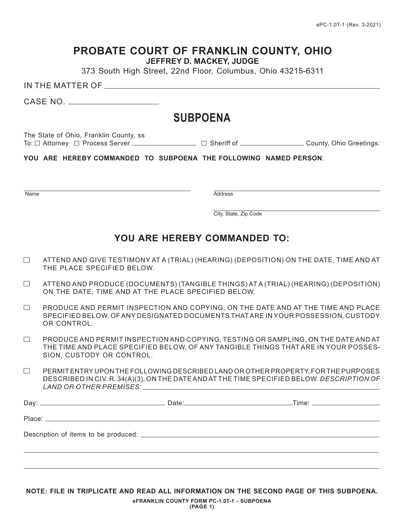### **PROBATE COURT OF FRANKLIN COUNTY, OHIO**

**JEFFREY D. MACKEY, JUDGE**

373 South High Street, 22nd Floor, Columbus, Ohio 43215-6311

**SUBPOENA**

IN THE MATTER OF

# CASE NO.

## The State of Ohio, Franklin County, ss

To:  $\Box$  Attorney  $\Box$  Process Server  $\Box$  Sheriff of  $\Box$  Sheriff of  $\Box$  County, Ohio Greetings:

**YOU ARE HEREBY COMMANDED TO SUBPOENA THE FOLLOWING NAMED PERSON**:

Name Address Address and the Address Address Address Address Address Address Address Address Address Address A

City, State, Zip Code

### **YOU ARE HEREBY COMMANDED TO:**

- $\Box$ ATTEND AND GIVE TESTIMONY AT A (TRIAL) (HEARING) (DEPOSITION) ON THE DATE, TIME AND AT THE PLACE SPECIFIED BELOW.
- ATTEND AND PRODUCE (DOCUMENTS) (TANGIBLE THINGS) AT A (TRIAL) (HEARING) (DEPOSITION)  $\Box$ ON THE DATE, TIME AND AT THE PLACE SPECIFIED BELOW.
- PRODUCE AND PERMIT INSPECTION AND COPYING, ON THE DATE AND AT THE TIME AND PLACE  $\Box$ SPECIFIED BELOW, OF ANY DESIGNATED DOCUMENTS THAT ARE IN YOUR POSSESSION, CUSTODY OR CONTROL.
- $\Box$ PRODUCE AND PERMIT INSPECTION AND COPYING, TESTING OR SAMPLING, ON THE DATE AND AT THE TIME AND PLACE SPECIFIED BELOW, OF ANY TANGIBLE THINGS THAT ARE IN YOUR POSSES-SION, CUSTODY OR CONTROL.
- $\overline{\phantom{a}}$ PERMIT ENTRY UPON THE FOLLOWING DESCRIBED LAND OR OTHER PROPERTY, FOR THE PURPOSES DESCRIBED IN CIV. R. 34(A)(3), ON THE DATE AND AT THE TIME SPECIFIED BELOW. *DESCRIPTION OF LAND OR OTHER PREMISES:*

|  | Time: |
|--|-------|
|  |       |
|  |       |
|  |       |
|  |       |

**NOTE: FILE IN TRIPLICATE AND READ ALL INFORMATION ON THE SECOND PAGE OF THIS SUBPOENA. eFRANKLIN COUNTY FORM PC-1.0T-1 - SUBPOENA (PAGE 1)**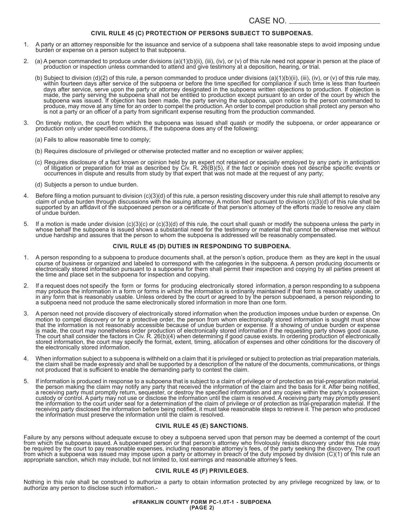#### **CIVIL RULE 45 (C) PROTECTION OF PERSONS SUBJECT TO SUBPOENAS.**

- 1. A party or an attorney responsible for the issuance and service of a subpoena shall take reasonable steps to avoid imposing undue burden or expense on a person subject to that subpoena.
- 2. (a) A person commanded to produce under divisions (a)(1)(b)(ii), (iii), (iv), or (v) of this rule need not appear in person at the place of production or inspection unless commanded to attend and give testimony at a deposition, hearing, or trial.
	- (b) Subject to division (d)(2) of this rule, a person commanded to produce under divisions (a)(1)(b)(ii), (iii), (iv), or (v) of this rule may,<br>within fourteen days after service of the subpoena or before the time specifie days after service, serve upon the party or attorney designated in the subpoena written objections to production. If objection is made, the party serving the subpoena shall not be entitled to production except pursuant to an order of the court by which the subpoena was issued. If objection has been made, the party serving the subpoena, upon notice to the person commanded to produce, may move at any time for an order to compel the production. An order to compel production shall protect any person who is not a party or an officer of a party from significant expense resulting from the production commanded.
- 3. On timely motion, the court from which the subpoena was issued shall quash or modify the subpoena, or order appearance or production only under specified conditions, if the subpoena does any of the following:
	- (a) Fails to allow reasonable time to comply;
	- (b) Requires disclosure of privileged or otherwise protected matter and no exception or waiver applies;
	- (c) Requires disclosure of a fact known or opinion held by an expert not retained or specially employed by any party in anticipation of litigation or preparation for trial as described by Civ. R. 26(B)(5), if the fact or opinion does not describe specific events or occurrences in dispute and results from study by that expert that was not made at the request of any party;
	- (d) Subjects a person to undue burden.
- 4. Before filing a motion pursuant to division (c)(3)(d) of this rule, a person resisting discovery under this rule shall attempt to resolve any claim of undue burden through discussions with the issuing attorney. A motion filed pursuant to division (c)(3)(d) of this rule shall be supported by an affidavit of the subpoenaed person or a certificate of that person's attorney of the efforts made to resolve any claim of undue burden.
- 5. If a motion is made under division (c)(3)(c) or (c)(3)(d) of this rule, the court shall quash or modify the subpoena unless the party in whose behalf the subpoena is issued shows a substantial need for the testimony or material that cannot be otherwise met without undue hardship and assures that the person to whom the subpoena is addressed will be reasonably compensated.

#### **CIVIL RULE 45 (D) DUTIES IN RESPONDING TO SUBPOENA.**

- 1. A person responding to a subpoena to produce documents shall, at the person's option, produce them as they are kept in the usual course of business or organized and labeled to correspond with the categories in the subpoena. A person producing documents or electronically stored information pursuant to a subpoena for them shall permit their inspection and copying by all parties present at the time and place set in the subpoena for inspection and copying.
- 2. If a request does not specify the form or forms for producing electronically stored information, a person responding to a subpoena may produce the information in a form or forms in which the information is ordinarily maintained if that form is reasonably usable, or in any form that is reasonably usable. Unless ordered by the court or agreed to by the person subpoenaed, a person responding to a subpoena need not produce the same electronically stored information in more than one form.
- 3. A person need not provide discovery of electronically stored information when the production imposes undue burden or expense. On motion to compel discovery or for a protective order, the person from whom electronically stored information is sought must show that the information is not reasonably accessible because of undue burden or expense. If a showing of undue burden or expense is made, the court may nonetheless order production of electronically stored information if the requesting party shows good cause. The court shall consider the factors in Civ. R. 26(b)(4) when determining if good cause exists. In ordering production of electronically stored information, the court may specify the format, extent, timing, allocation of expenses and other conditions for the discovery of the electronically stored information.
- When information subject to a subpoena is withheld on a claim that it is privileged or subject to protection as trial preparation materials, the claim shall be made expressly and shall be supported by a description of the nature of the documents, communications, or things not produced that is sufficient to enable the demanding party to contest the claim.
- 5. If information is produced in response to a subpoena that is subject to a claim of privilege or of protection as trial-preparation material, the person making the claim may notify any party that received the information of the claim and the basis for it. After being notified, a receiving party must promptly return, sequester, or destroy the specified information and any copies within the party's possession, custody or control. A party may not use or disclose the information until the claim is resolved. A receiving party may promptly present the information to the court under seal for a determination of the claim of privilege or of protection as trial-preparation material. If the receiving party disclosed the information before being notified, it must take reasonable steps to retrieve it. The person who produced the information must preserve the information until the claim is resolved.

#### **CIVIL RULE 45 (E) SANCTIONS.**

Failure by any persons without adequate excuse to obey a subpoena served upon that person may be deemed a contempt of the court from which the subpoena issued. A subpoenaed person or that person's attorney who frivolously resists discovery under this rule may be required by the court to pay reasonable expenses, including reasonable attorney's fees, of the party seeking the discovery. The court from which a subpoena was issued may impose upon a party or attorney in breach of the duty imposed by division (C)(1) of this rule an appropriate sanction, which may include, but not limited to, lost earnings and reasonable attorney's fees.

#### **CIVIL RULE 45 (F) PRIVILEGES.**

Nothing in this rule shall be construed to authorize a party to obtain information protected by any privilege recognized by law, or to authorize any person to disclose such information.-

> **eFRANKLIN COUNTY FORM PC-1.0T-1 - SUBPOENA (PAGE 2)**